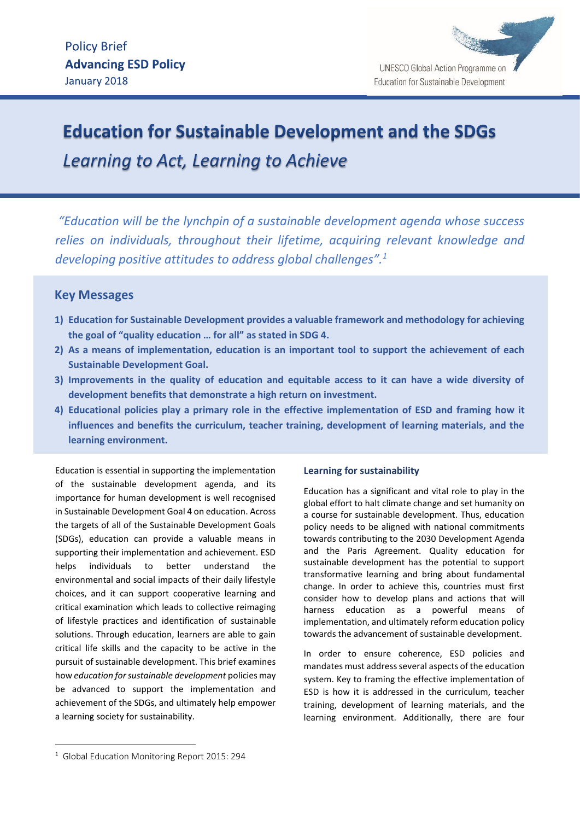

# **Education for Sustainable Development and the SDGs**

Learning to Act, Learning to Achieve

*"Education will be the lynchpin of a sustainable development agenda whose success relies on individuals, throughout their lifetime, acquiring relevant knowledge and developing positive attitudes to address global challenges".<sup>1</sup>*

# **Key Messages**

- **1) Education for Sustainable Development provides a valuable framework and methodology for achieving the goal of "quality education … for all" as stated in SDG 4.**
- **2) As a means of implementation, education is an important tool to support the achievement of each Sustainable Development Goal.**
- **3) Improvements in the quality of education and equitable access to it can have a wide diversity of development benefits that demonstrate a high return on investment.**
- **4) Educational policies play a primary role in the effective implementation of ESD and framing how it influences and benefits the curriculum, teacher training, development of learning materials, and the learning environment.**

Education is essential in supporting the implementation of the sustainable development agenda, and its importance for human development is well recognised in Sustainable Development Goal 4 on education. Across the targets of all of the Sustainable Development Goals (SDGs), education can provide a valuable means in supporting their implementation and achievement. ESD helps individuals to better understand the environmental and social impacts of their daily lifestyle choices, and it can support cooperative learning and critical examination which leads to collective reimaging of lifestyle practices and identification of sustainable solutions. Through education, learners are able to gain critical life skills and the capacity to be active in the pursuit of sustainable development. This brief examines how *education for sustainable development* policies may be advanced to support the implementation and achievement of the SDGs, and ultimately help empower a learning society for sustainability.

# **Learning for sustainability**

Education has a significant and vital role to play in the global effort to halt climate change and set humanity on a course for sustainable development. Thus, education policy needs to be aligned with national commitments towards contributing to the 2030 Development Agenda and the Paris Agreement. Quality education for sustainable development has the potential to support transformative learning and bring about fundamental change. In order to achieve this, countries must first consider how to develop plans and actions that will harness education as a powerful means of implementation, and ultimately reform education policy towards the advancement of sustainable development.

In order to ensure coherence, ESD policies and mandates must address several aspects of the education system. Key to framing the effective implementation of ESD is how it is addressed in the curriculum, teacher training, development of learning materials, and the learning environment. Additionally, there are four

1

<sup>&</sup>lt;sup>1</sup> Global Education Monitoring Report 2015: 294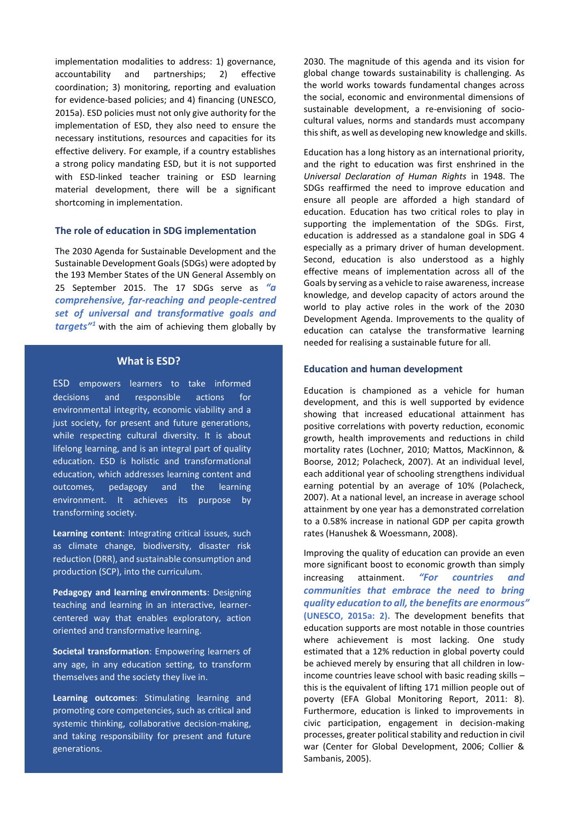implementation modalities to address: 1) governance, accountability and partnerships; 2) effective coordination; 3) monitoring, reporting and evaluation for evidence-based policies; and 4) financing (UNESCO, 2015a). ESD policies must not only give authority for the implementation of ESD, they also need to ensure the necessary institutions, resources and capacities for its effective delivery. For example, if a country establishes a strong policy mandating ESD, but it is not supported with ESD-linked teacher training or ESD learning material development, there will be a significant shortcoming in implementation.

#### **The role of education in SDG implementation**

The 2030 Agenda for Sustainable Development and the Sustainable Development Goals (SDGs) were adopted by the 193 Member States of the UN General Assembly on 25 September 2015. The 17 SDGs serve as *"a comprehensive, far-reaching and people-centred set of universal and transformative goals and targets"<sup>1</sup>* with the aim of achieving them globally by

#### **What is ESD?**

ESD empowers learners to take informed decisions and responsible actions for environmental integrity, economic viability and a just society, for present and future generations, while respecting cultural diversity. It is about lifelong learning, and is an integral part of quality education. ESD is holistic and transformational education, which addresses learning content and outcomes, pedagogy and the learning environment. It achieves its purpose by transforming society.

**Learning content**: Integrating critical issues, such as climate change, biodiversity, disaster risk reduction (DRR), and sustainable consumption and production (SCP), into the curriculum.

**Pedagogy and learning environments**: Designing teaching and learning in an interactive, learnercentered way that enables exploratory, action oriented and transformative learning.

**Societal transformation**: Empowering learners of any age, in any education setting, to transform themselves and the society they live in.

**Learning outcomes**: Stimulating learning and promoting core competencies, such as critical and systemic thinking, collaborative decision-making, and taking responsibility for present and future generations.

2030. The magnitude of this agenda and its vision for global change towards sustainability is challenging. As the world works towards fundamental changes across the social, economic and environmental dimensions of sustainable development, a re-envisioning of sociocultural values, norms and standards must accompany this shift, as well as developing new knowledge and skills.

Education has a long history as an international priority, and the right to education was first enshrined in the *Universal Declaration of Human Rights* in 1948. The SDGs reaffirmed the need to improve education and ensure all people are afforded a high standard of education. Education has two critical roles to play in supporting the implementation of the SDGs. First, education is addressed as a standalone goal in SDG 4 especially as a primary driver of human development. Second, education is also understood as a highly effective means of implementation across all of the Goals by serving as a vehicle to raise awareness, increase knowledge, and develop capacity of actors around the world to play active roles in the work of the 2030 Development Agenda. Improvements to the quality of education can catalyse the transformative learning needed for realising a sustainable future for all.

#### **Education and human development**

Education is championed as a vehicle for human development, and this is well supported by evidence showing that increased educational attainment has positive correlations with poverty reduction, economic growth, health improvements and reductions in child mortality rates (Lochner, 2010; Mattos, MacKinnon, & Boorse, 2012; Polacheck, 2007). At an individual level, each additional year of schooling strengthens individual earning potential by an average of 10% (Polacheck, 2007). At a national level, an increase in average school attainment by one year has a demonstrated correlation to a 0.58% increase in national GDP per capita growth rates (Hanushek & Woessmann, 2008).

Improving the quality of education can provide an even more significant boost to economic growth than simply increasing attainment. *"For countries and communities that embrace the need to bring quality education to all, the benefits are enormous"* **(UNESCO, 2015a: 2).** The development benefits that education supports are most notable in those countries where achievement is most lacking. One study estimated that a 12% reduction in global poverty could be achieved merely by ensuring that all children in lowincome countries leave school with basic reading skills – this is the equivalent of lifting 171 million people out of poverty (EFA Global Monitoring Report, 2011: 8). Furthermore, education is linked to improvements in civic participation, engagement in decision-making processes, greater political stability and reduction in civil war (Center for Global Development, 2006; Collier & Sambanis, 2005).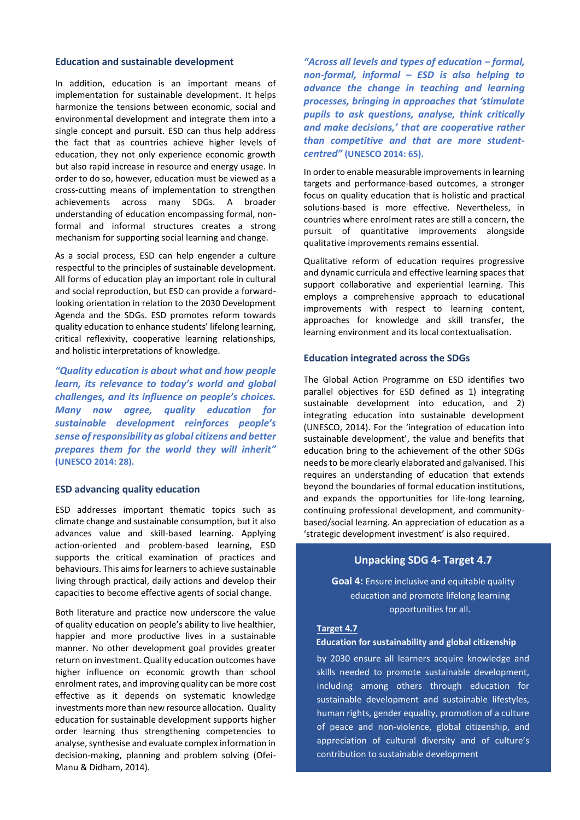#### **Education and sustainable development**

In addition, education is an important means of implementation for sustainable development. It helps harmonize the tensions between economic, social and environmental development and integrate them into a single concept and pursuit. ESD can thus help address the fact that as countries achieve higher levels of education, they not only experience economic growth but also rapid increase in resource and energy usage. In order to do so, however, education must be viewed as a cross-cutting means of implementation to strengthen achievements across many SDGs. A broader understanding of education encompassing formal, nonformal and informal structures creates a strong mechanism for supporting social learning and change.

As a social process, ESD can help engender a culture respectful to the principles of sustainable development. All forms of education play an important role in cultural and social reproduction, but ESD can provide a forwardlooking orientation in relation to the 2030 Development Agenda and the SDGs. ESD promotes reform towards quality education to enhance students' lifelong learning, critical reflexivity, cooperative learning relationships, and holistic interpretations of knowledge.

*"Quality education is about what and how people learn, its relevance to today's world and global challenges, and its influence on people's choices. Many now agree, quality education for sustainable development reinforces people's sense of responsibility as global citizens and better prepares them for the world they will inherit"* **(UNESCO 2014: 28).**

# **ESD advancing quality education**

ESD addresses important thematic topics such as climate change and sustainable consumption, but it also advances value and skill-based learning. Applying action-oriented and problem-based learning, ESD supports the critical examination of practices and behaviours. This aims for learners to achieve sustainable living through practical, daily actions and develop their capacities to become effective agents of social change.

Both literature and practice now underscore the value of quality education on people's ability to live healthier, happier and more productive lives in a sustainable manner. No other development goal provides greater return on investment. Quality education outcomes have higher influence on economic growth than school enrolment rates, and improving quality can be more cost effective as it depends on systematic knowledge investments more than new resource allocation. Quality education for sustainable development supports higher order learning thus strengthening competencies to analyse, synthesise and evaluate complex information in decision-making, planning and problem solving (Ofei-Manu & Didham, 2014).

*"Across all levels and types of education – formal, non-formal, informal – ESD is also helping to advance the change in teaching and learning processes, bringing in approaches that 'stimulate pupils to ask questions, analyse, think critically and make decisions,' that are cooperative rather than competitive and that are more studentcentred"* **(UNESCO 2014: 65).**

In order to enable measurable improvements in learning targets and performance-based outcomes, a stronger focus on quality education that is holistic and practical solutions-based is more effective. Nevertheless, in countries where enrolment rates are still a concern, the pursuit of quantitative improvements alongside qualitative improvements remains essential.

Qualitative reform of education requires progressive and dynamic curricula and effective learning spaces that support collaborative and experiential learning. This employs a comprehensive approach to educational improvements with respect to learning content, approaches for knowledge and skill transfer, the learning environment and its local contextualisation.

### **Education integrated across the SDGs**

The Global Action Programme on ESD identifies two parallel objectives for ESD defined as 1) integrating sustainable development into education, and 2) integrating education into sustainable development (UNESCO, 2014). For the 'integration of education into sustainable development', the value and benefits that education bring to the achievement of the other SDGs needs to be more clearly elaborated and galvanised. This requires an understanding of education that extends beyond the boundaries of formal education institutions, and expands the opportunities for life-long learning, continuing professional development, and communitybased/social learning. An appreciation of education as a 'strategic development investment' is also required.

# **Unpacking SDG 4- Target 4.7**

**Goal 4:** Ensure inclusive and equitable quality education and promote lifelong learning opportunities for all.

#### **Target 4.7**

#### **Education for sustainability and global citizenship**

by 2030 ensure all learners acquire knowledge and skills needed to promote sustainable development, including among others through education for sustainable development and sustainable lifestyles, human rights, gender equality, promotion of a culture of peace and non-violence, global citizenship, and appreciation of cultural diversity and of culture's contribution to sustainable development